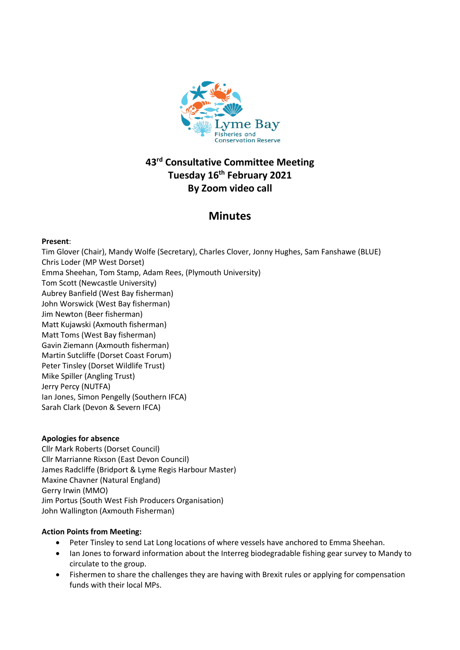

# **43rd Consultative Committee Meeting Tuesday 16 th February 2021 By Zoom video call**

# **Minutes**

# **Present**:

Tim Glover (Chair), Mandy Wolfe (Secretary), Charles Clover, Jonny Hughes, Sam Fanshawe (BLUE) Chris Loder (MP West Dorset) Emma Sheehan, Tom Stamp, Adam Rees, (Plymouth University) Tom Scott (Newcastle University) Aubrey Banfield (West Bay fisherman) John Worswick (West Bay fisherman) Jim Newton (Beer fisherman) Matt Kujawski (Axmouth fisherman) Matt Toms (West Bay fisherman) Gavin Ziemann (Axmouth fisherman) Martin Sutcliffe (Dorset Coast Forum) Peter Tinsley (Dorset Wildlife Trust) Mike Spiller (Angling Trust) Jerry Percy (NUTFA) Ian Jones, Simon Pengelly (Southern IFCA) Sarah Clark (Devon & Severn IFCA)

# **Apologies for absence**

Cllr Mark Roberts (Dorset Council) Cllr Marrianne Rixson (East Devon Council) James Radcliffe (Bridport & Lyme Regis Harbour Master) Maxine Chavner (Natural England) Gerry Irwin (MMO) Jim Portus (South West Fish Producers Organisation) John Wallington (Axmouth Fisherman)

# **Action Points from Meeting:**

- Peter Tinsley to send Lat Long locations of where vessels have anchored to Emma Sheehan.
- Ian Jones to forward information about the Interreg biodegradable fishing gear survey to Mandy to circulate to the group.
- Fishermen to share the challenges they are having with Brexit rules or applying for compensation funds with their local MPs.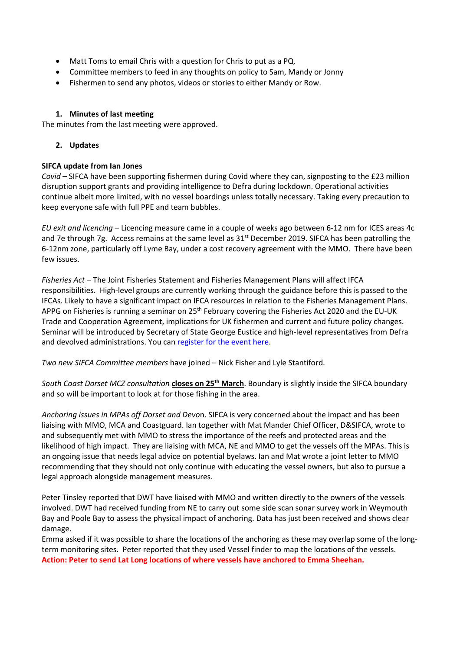- Matt Toms to email Chris with a question for Chris to put as a PQ.
- Committee members to feed in any thoughts on policy to Sam, Mandy or Jonny
- Fishermen to send any photos, videos or stories to either Mandy or Row.

## **1. Minutes of last meeting**

The minutes from the last meeting were approved.

## **2. Updates**

## **SIFCA update from Ian Jones**

*Covid* – SIFCA have been supporting fishermen during Covid where they can, signposting to the £23 million disruption support grants and providing intelligence to Defra during lockdown. Operational activities continue albeit more limited, with no vessel boardings unless totally necessary. Taking every precaution to keep everyone safe with full PPE and team bubbles.

*EU exit and licencing* – Licencing measure came in a couple of weeks ago between 6-12 nm for ICES areas 4c and 7e through 7g. Access remains at the same level as 31<sup>st</sup> December 2019. SIFCA has been patrolling the 6-12nm zone, particularly off Lyme Bay, under a cost recovery agreement with the MMO. There have been few issues.

*Fisheries Act* – The Joint Fisheries Statement and Fisheries Management Plans will affect IFCA responsibilities. High-level groups are currently working through the guidance before this is passed to the IFCAs. Likely to have a significant impact on IFCA resources in relation to the Fisheries Management Plans. APPG on Fisheries is running a seminar on 25<sup>th</sup> February covering the Fisheries Act 2020 and the EU-UK Trade and Cooperation Agreement, implications for UK fishermen and current and future policy changes. Seminar will be introduced by Secretary of State George Eustice and high-level representatives from Defra and devolved administrations. You ca[n register for the event here.](https://www.eventbrite.co.uk/x/a-new-era-the-fisheries-act-and-brexit-tickets-139636631925?utm_campaign=order_confirm&utm_term=digitalx&utm_source=eventbrite&utm_medium=email&app_cta_src=order_conf_email&ref=eemailordconf)

*Two new SIFCA Committee members* have joined – Nick Fisher and Lyle Stantiford.

*South Coast Dorset MCZ consultation* **closes on 25th March**. Boundary is slightly inside the SIFCA boundary and so will be important to look at for those fishing in the area.

*Anchoring issues in MPAs off Dorset and Devo*n. SIFCA is very concerned about the impact and has been liaising with MMO, MCA and Coastguard. Ian together with Mat Mander Chief Officer, D&SIFCA, wrote to and subsequently met with MMO to stress the importance of the reefs and protected areas and the likelihood of high impact. They are liaising with MCA, NE and MMO to get the vessels off the MPAs. This is an ongoing issue that needs legal advice on potential byelaws. Ian and Mat wrote a joint letter to MMO recommending that they should not only continue with educating the vessel owners, but also to pursue a legal approach alongside management measures.

Peter Tinsley reported that DWT have liaised with MMO and written directly to the owners of the vessels involved. DWT had received funding from NE to carry out some side scan sonar survey work in Weymouth Bay and Poole Bay to assess the physical impact of anchoring. Data has just been received and shows clear damage.

Emma asked if it was possible to share the locations of the anchoring as these may overlap some of the longterm monitoring sites. Peter reported that they used Vessel finder to map the locations of the vessels. **Action: Peter to send Lat Long locations of where vessels have anchored to Emma Sheehan.**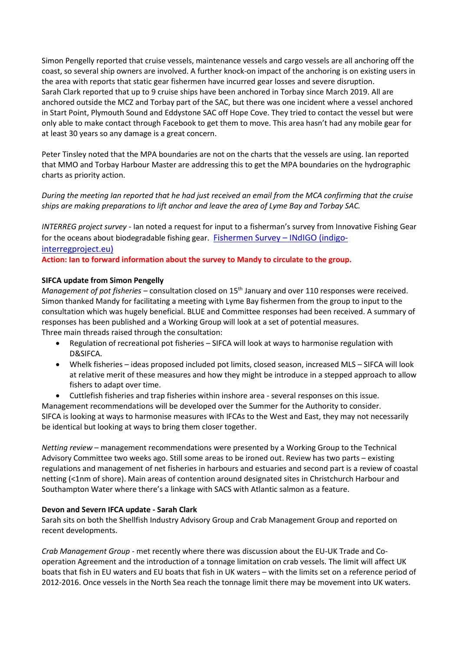Simon Pengelly reported that cruise vessels, maintenance vessels and cargo vessels are all anchoring off the coast, so several ship owners are involved. A further knock-on impact of the anchoring is on existing users in the area with reports that static gear fishermen have incurred gear losses and severe disruption. Sarah Clark reported that up to 9 cruise ships have been anchored in Torbay since March 2019. All are anchored outside the MCZ and Torbay part of the SAC, but there was one incident where a vessel anchored in Start Point, Plymouth Sound and Eddystone SAC off Hope Cove. They tried to contact the vessel but were only able to make contact through Facebook to get them to move. This area hasn't had any mobile gear for at least 30 years so any damage is a great concern.

Peter Tinsley noted that the MPA boundaries are not on the charts that the vessels are using. Ian reported that MMO and Torbay Harbour Master are addressing this to get the MPA boundaries on the hydrographic charts as priority action.

*During the meeting Ian reported that he had just received an email from the MCA confirming that the cruise ships are making preparations to lift anchor and leave the area of Lyme Bay and Torbay SAC.*

*INTERREG project survey* - Ian noted a request for input to a fisherman's survey from Innovative Fishing Gear for the oceans about biodegradable fishing gear. [Fishermen Survey](http://indigo-interregproject.eu/en/news-en/fishermen-survey/) - INdIGO (indigo[interregproject.eu\)](http://indigo-interregproject.eu/en/news-en/fishermen-survey/)

**Action: Ian to forward information about the survey to Mandy to circulate to the group.**

## **SIFCA update from Simon Pengelly**

*Management of pot fisheries* – consultation closed on 15<sup>th</sup> January and over 110 responses were received. Simon thanked Mandy for facilitating a meeting with Lyme Bay fishermen from the group to input to the consultation which was hugely beneficial. BLUE and Committee responses had been received. A summary of responses has been published and a Working Group will look at a set of potential measures. Three main threads raised through the consultation:

- Regulation of recreational pot fisheries SIFCA will look at ways to harmonise regulation with D&SIFCA.
- Whelk fisheries ideas proposed included pot limits, closed season, increased MLS SIFCA will look at relative merit of these measures and how they might be introduce in a stepped approach to allow fishers to adapt over time.

• Cuttlefish fisheries and trap fisheries within inshore area - several responses on this issue. Management recommendations will be developed over the Summer for the Authority to consider. SIFCA is looking at ways to harmonise measures with IFCAs to the West and East, they may not necessarily be identical but looking at ways to bring them closer together.

*Netting review* – management recommendations were presented by a Working Group to the Technical Advisory Committee two weeks ago. Still some areas to be ironed out. Review has two parts – existing regulations and management of net fisheries in harbours and estuaries and second part is a review of coastal netting (<1nm of shore). Main areas of contention around designated sites in Christchurch Harbour and Southampton Water where there's a linkage with SACS with Atlantic salmon as a feature.

#### **Devon and Severn IFCA update - Sarah Clark**

Sarah sits on both the Shellfish Industry Advisory Group and Crab Management Group and reported on recent developments.

*Crab Management Group* - met recently where there was discussion about the EU-UK Trade and Cooperation Agreement and the introduction of a tonnage limitation on crab vessels. The limit will affect UK boats that fish in EU waters and EU boats that fish in UK waters – with the limits set on a reference period of 2012-2016. Once vessels in the North Sea reach the tonnage limit there may be movement into UK waters.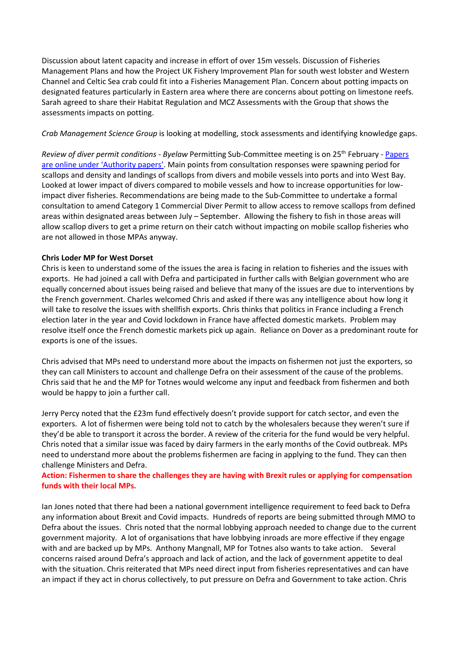Discussion about latent capacity and increase in effort of over 15m vessels. Discussion of Fisheries Management Plans and how the Project UK Fishery Improvement Plan for south west lobster and Western Channel and Celtic Sea crab could fit into a Fisheries Management Plan. Concern about potting impacts on designated features particularly in Eastern area where there are concerns about potting on limestone reefs. Sarah agreed to share their Habitat Regulation and MCZ Assessments with the Group that shows the assessments impacts on potting.

## *Crab Management Science Group* is looking at modelling, stock assessments and identifying knowledge gaps.

*Review of diver permit conditions - Byelaw* Permitting Sub-Committee meeting is on 25th February - [Papers](https://www.devonandsevernifca.gov.uk/Authority-Meetings)  [are online under](https://www.devonandsevernifca.gov.uk/Authority-Meetings) 'Authority papers'. Main points from consultation responses were spawning period for scallops and density and landings of scallops from divers and mobile vessels into ports and into West Bay. Looked at lower impact of divers compared to mobile vessels and how to increase opportunities for lowimpact diver fisheries. Recommendations are being made to the Sub-Committee to undertake a formal consultation to amend Category 1 Commercial Diver Permit to allow access to remove scallops from defined areas within designated areas between July – September. Allowing the fishery to fish in those areas will allow scallop divers to get a prime return on their catch without impacting on mobile scallop fisheries who are not allowed in those MPAs anyway.

## **Chris Loder MP for West Dorset**

Chris is keen to understand some of the issues the area is facing in relation to fisheries and the issues with exports. He had joined a call with Defra and participated in further calls with Belgian government who are equally concerned about issues being raised and believe that many of the issues are due to interventions by the French government. Charles welcomed Chris and asked if there was any intelligence about how long it will take to resolve the issues with shellfish exports. Chris thinks that politics in France including a French election later in the year and Covid lockdown in France have affected domestic markets. Problem may resolve itself once the French domestic markets pick up again. Reliance on Dover as a predominant route for exports is one of the issues.

Chris advised that MPs need to understand more about the impacts on fishermen not just the exporters, so they can call Ministers to account and challenge Defra on their assessment of the cause of the problems. Chris said that he and the MP for Totnes would welcome any input and feedback from fishermen and both would be happy to join a further call.

Jerry Percy noted that the £23m fund effectively doesn't provide support for catch sector, and even the exporters. A lot of fishermen were being told not to catch by the wholesalers because they weren't sure if they'd be able to transport it across the border. A review of the criteria for the fund would be very helpful. Chris noted that a similar issue was faced by dairy farmers in the early months of the Covid outbreak. MPs need to understand more about the problems fishermen are facing in applying to the fund. They can then challenge Ministers and Defra.

# **Action: Fishermen to share the challenges they are having with Brexit rules or applying for compensation funds with their local MPs.**

Ian Jones noted that there had been a national government intelligence requirement to feed back to Defra any information about Brexit and Covid impacts. Hundreds of reports are being submitted through MMO to Defra about the issues. Chris noted that the normal lobbying approach needed to change due to the current government majority. A lot of organisations that have lobbying inroads are more effective if they engage with and are backed up by MPs. Anthony Mangnall, MP for Totnes also wants to take action. Several concerns raised around Defra's approach and lack of action, and the lack of government appetite to deal with the situation. Chris reiterated that MPs need direct input from fisheries representatives and can have an impact if they act in chorus collectively, to put pressure on Defra and Government to take action. Chris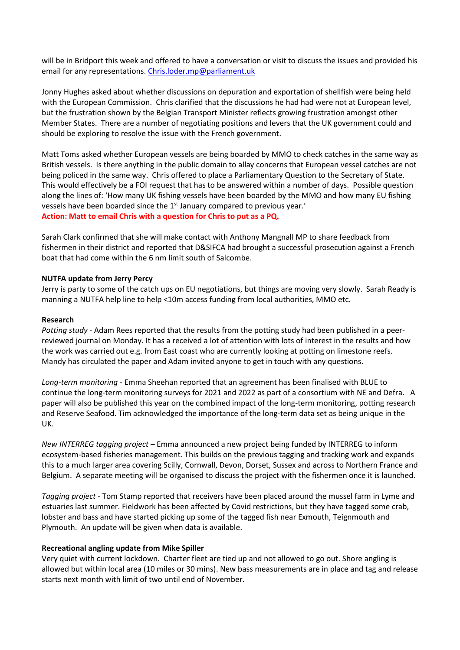will be in Bridport this week and offered to have a conversation or visit to discuss the issues and provided his email for any representations. [Chris.loder.mp@parliament.uk](mailto:Chris.loder.mp@parliament.uk)

Jonny Hughes asked about whether discussions on depuration and exportation of shellfish were being held with the European Commission. Chris clarified that the discussions he had had were not at European level, but the frustration shown by the Belgian Transport Minister reflects growing frustration amongst other Member States. There are a number of negotiating positions and levers that the UK government could and should be exploring to resolve the issue with the French government.

Matt Toms asked whether European vessels are being boarded by MMO to check catches in the same way as British vessels. Is there anything in the public domain to allay concerns that European vessel catches are not being policed in the same way. Chris offered to place a Parliamentary Question to the Secretary of State. This would effectively be a FOI request that has to be answered within a number of days. Possible question along the lines of: 'How many UK fishing vessels have been boarded by the MMO and how many EU fishing vessels have been boarded since the 1<sup>st</sup> January compared to previous year.' **Action: Matt to email Chris with a question for Chris to put as a PQ.**

Sarah Clark confirmed that she will make contact with Anthony Mangnall MP to share feedback from fishermen in their district and reported that D&SIFCA had brought a successful prosecution against a French boat that had come within the 6 nm limit south of Salcombe.

## **NUTFA update from Jerry Percy**

Jerry is party to some of the catch ups on EU negotiations, but things are moving very slowly. Sarah Ready is manning a NUTFA help line to help <10m access funding from local authorities, MMO etc.

#### **Research**

*Potting study* - Adam Rees reported that the results from the potting study had been published in a peerreviewed journal on Monday. It has a received a lot of attention with lots of interest in the results and how the work was carried out e.g. from East coast who are currently looking at potting on limestone reefs. Mandy has circulated the paper and Adam invited anyone to get in touch with any questions.

*Long-term monitoring* - Emma Sheehan reported that an agreement has been finalised with BLUE to continue the long-term monitoring surveys for 2021 and 2022 as part of a consortium with NE and Defra. A paper will also be published this year on the combined impact of the long-term monitoring, potting research and Reserve Seafood. Tim acknowledged the importance of the long-term data set as being unique in the UK.

*New INTERREG tagging project* – Emma announced a new project being funded by INTERREG to inform ecosystem-based fisheries management. This builds on the previous tagging and tracking work and expands this to a much larger area covering Scilly, Cornwall, Devon, Dorset, Sussex and across to Northern France and Belgium. A separate meeting will be organised to discuss the project with the fishermen once it is launched.

*Tagging project* - Tom Stamp reported that receivers have been placed around the mussel farm in Lyme and estuaries last summer. Fieldwork has been affected by Covid restrictions, but they have tagged some crab, lobster and bass and have started picking up some of the tagged fish near Exmouth, Teignmouth and Plymouth. An update will be given when data is available.

#### **Recreational angling update from Mike Spiller**

Very quiet with current lockdown. Charter fleet are tied up and not allowed to go out. Shore angling is allowed but within local area (10 miles or 30 mins). New bass measurements are in place and tag and release starts next month with limit of two until end of November.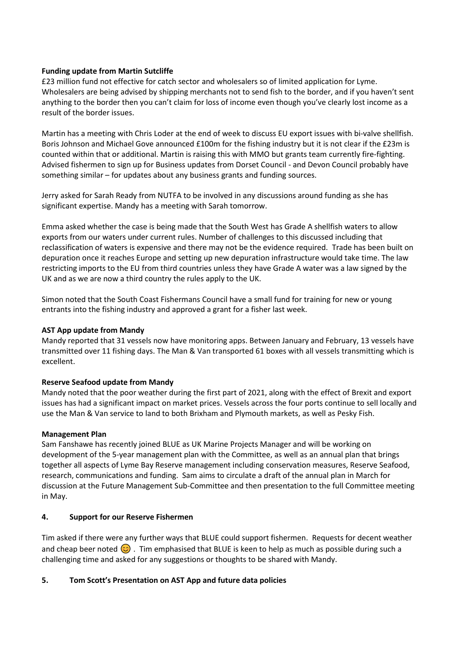## **Funding update from Martin Sutcliffe**

£23 million fund not effective for catch sector and wholesalers so of limited application for Lyme. Wholesalers are being advised by shipping merchants not to send fish to the border, and if you haven't sent anything to the border then you can't claim for loss of income even though you've clearly lost income as a result of the border issues.

Martin has a meeting with Chris Loder at the end of week to discuss EU export issues with bi-valve shellfish. Boris Johnson and Michael Gove announced £100m for the fishing industry but it is not clear if the £23m is counted within that or additional. Martin is raising this with MMO but grants team currently fire-fighting. Advised fishermen to sign up for Business updates from Dorset Council - and Devon Council probably have something similar – for updates about any business grants and funding sources.

Jerry asked for Sarah Ready from NUTFA to be involved in any discussions around funding as she has significant expertise. Mandy has a meeting with Sarah tomorrow.

Emma asked whether the case is being made that the South West has Grade A shellfish waters to allow exports from our waters under current rules. Number of challenges to this discussed including that reclassification of waters is expensive and there may not be the evidence required. Trade has been built on depuration once it reaches Europe and setting up new depuration infrastructure would take time. The law restricting imports to the EU from third countries unless they have Grade A water was a law signed by the UK and as we are now a third country the rules apply to the UK.

Simon noted that the South Coast Fishermans Council have a small fund for training for new or young entrants into the fishing industry and approved a grant for a fisher last week.

#### **AST App update from Mandy**

Mandy reported that 31 vessels now have monitoring apps. Between January and February, 13 vessels have transmitted over 11 fishing days. The Man & Van transported 61 boxes with all vessels transmitting which is excellent.

#### **Reserve Seafood update from Mandy**

Mandy noted that the poor weather during the first part of 2021, along with the effect of Brexit and export issues has had a significant impact on market prices. Vessels across the four ports continue to sell locally and use the Man & Van service to land to both Brixham and Plymouth markets, as well as Pesky Fish.

#### **Management Plan**

Sam Fanshawe has recently joined BLUE as UK Marine Projects Manager and will be working on development of the 5-year management plan with the Committee, as well as an annual plan that brings together all aspects of Lyme Bay Reserve management including conservation measures, Reserve Seafood, research, communications and funding. Sam aims to circulate a draft of the annual plan in March for discussion at the Future Management Sub-Committee and then presentation to the full Committee meeting in May.

#### **4. Support for our Reserve Fishermen**

Tim asked if there were any further ways that BLUE could support fishermen. Requests for decent weather and cheap beer noted  $\odot$ . Tim emphasised that BLUE is keen to help as much as possible during such a challenging time and asked for any suggestions or thoughts to be shared with Mandy.

# **5. Tom Scott's Presentation on AST App and future data policies**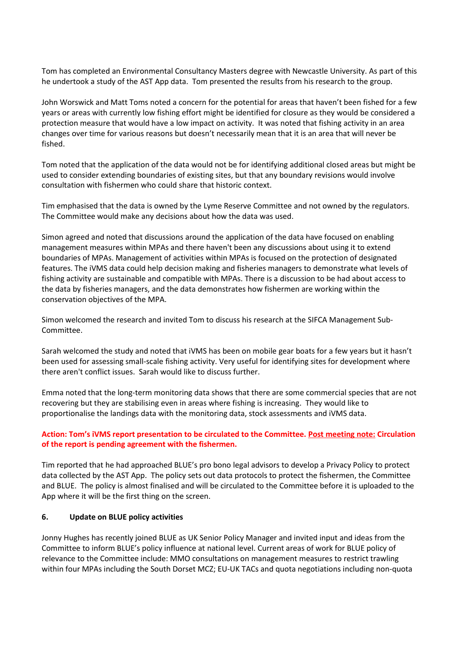Tom has completed an Environmental Consultancy Masters degree with Newcastle University. As part of this he undertook a study of the AST App data. Tom presented the results from his research to the group.

John Worswick and Matt Toms noted a concern for the potential for areas that haven't been fished for a few years or areas with currently low fishing effort might be identified for closure as they would be considered a protection measure that would have a low impact on activity. It was noted that fishing activity in an area changes over time for various reasons but doesn't necessarily mean that it is an area that will never be fished.

Tom noted that the application of the data would not be for identifying additional closed areas but might be used to consider extending boundaries of existing sites, but that any boundary revisions would involve consultation with fishermen who could share that historic context.

Tim emphasised that the data is owned by the Lyme Reserve Committee and not owned by the regulators. The Committee would make any decisions about how the data was used.

Simon agreed and noted that discussions around the application of the data have focused on enabling management measures within MPAs and there haven't been any discussions about using it to extend boundaries of MPAs. Management of activities within MPAs is focused on the protection of designated features. The iVMS data could help decision making and fisheries managers to demonstrate what levels of fishing activity are sustainable and compatible with MPAs. There is a discussion to be had about access to the data by fisheries managers, and the data demonstrates how fishermen are working within the conservation objectives of the MPA.

Simon welcomed the research and invited Tom to discuss his research at the SIFCA Management Sub-Committee.

Sarah welcomed the study and noted that iVMS has been on mobile gear boats for a few years but it hasn't been used for assessing small-scale fishing activity. Very useful for identifying sites for development where there aren't conflict issues. Sarah would like to discuss further.

Emma noted that the long-term monitoring data shows that there are some commercial species that are not recovering but they are stabilising even in areas where fishing is increasing. They would like to proportionalise the landings data with the monitoring data, stock assessments and iVMS data.

# **Action: Tom's iVMS report presentation to be circulated to the Committee. Post meeting note: Circulation of the report is pending agreement with the fishermen.**

Tim reported that he had approached BLUE's pro bono legal advisors to develop a Privacy Policy to protect data collected by the AST App. The policy sets out data protocols to protect the fishermen, the Committee and BLUE. The policy is almost finalised and will be circulated to the Committee before it is uploaded to the App where it will be the first thing on the screen.

#### **6. Update on BLUE policy activities**

Jonny Hughes has recently joined BLUE as UK Senior Policy Manager and invited input and ideas from the Committee to inform BLUE's policy influence at national level. Current areas of work for BLUE policy of relevance to the Committee include: MMO consultations on management measures to restrict trawling within four MPAs including the South Dorset MCZ; EU-UK TACs and quota negotiations including non-quota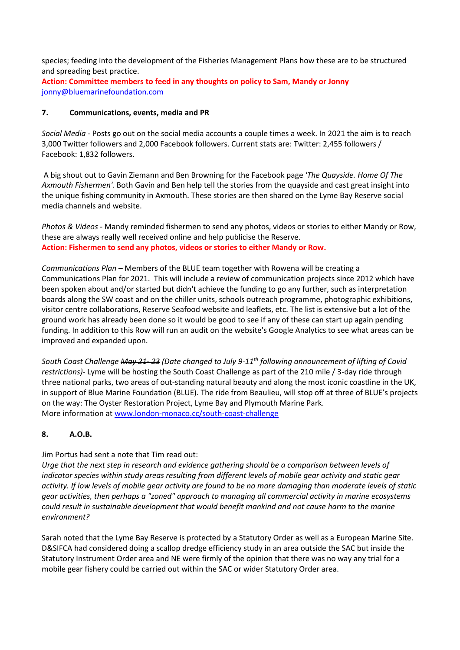species; feeding into the development of the Fisheries Management Plans how these are to be structured and spreading best practice.

**Action: Committee members to feed in any thoughts on policy to Sam, Mandy or Jonny** [jonny@bluemarinefoundation.com](mailto:jonny@bluemarinefoundation.com)

### **7. Communications, events, media and PR**

*Social Media* - Posts go out on the social media accounts a couple times a week. In 2021 the aim is to reach 3,000 Twitter followers and 2,000 Facebook followers. Current stats are: Twitter: 2,455 followers / Facebook: 1,832 followers.

A big shout out to Gavin Ziemann and Ben Browning for the Facebook page *'The Quayside. Home Of The Axmouth Fishermen'.* Both Gavin and Ben help tell the stories from the quayside and cast great insight into the unique fishing community in Axmouth. These stories are then shared on the Lyme Bay Reserve social media channels and website.

*Photos & Videos -* Mandy reminded fishermen to send any photos, videos or stories to either Mandy or Row, these are always really well received online and help publicise the Reserve. **Action: Fishermen to send any photos, videos or stories to either Mandy or Row.**

*Communications Plan* – Members of the BLUE team together with Rowena will be creating a Communications Plan for 2021. This will include a review of communication projects since 2012 which have been spoken about and/or started but didn't achieve the funding to go any further, such as interpretation boards along the SW coast and on the chiller units, schools outreach programme, photographic exhibitions, visitor centre collaborations, Reserve Seafood website and leaflets, etc. The list is extensive but a lot of the ground work has already been done so it would be good to see if any of these can start up again pending funding. In addition to this Row will run an audit on the website's Google Analytics to see what areas can be improved and expanded upon.

*South Coast Challenge May 21- 23 (Date changed to July 9-11th following announcement of lifting of Covid restrictions)-* Lyme will be hosting the South Coast Challenge as part of the 210 mile / 3-day ride through three national parks, two areas of out-standing natural beauty and along the most iconic coastline in the UK, in support of Blue Marine Foundation (BLUE). The ride from Beaulieu, will stop off at three of BLUE's projects on the way: The Oyster Restoration Project, Lyme Bay and Plymouth Marine Park. More information at [www.london-monaco.cc/south-coast-challenge](http://www.london-monaco.cc/south-coast-challenge)

# **8. A.O.B.**

Jim Portus had sent a note that Tim read out:

*Urge that the next step in research and evidence gathering should be a comparison between levels of indicator species within study areas resulting from different levels of mobile gear activity and static gear activity. If low levels of mobile gear activity are found to be no more damaging than moderate levels of static gear activities, then perhaps a "zoned" approach to managing all commercial activity in marine ecosystems could result in sustainable development that would benefit mankind and not cause harm to the marine environment?*

Sarah noted that the Lyme Bay Reserve is protected by a Statutory Order as well as a European Marine Site. D&SIFCA had considered doing a scallop dredge efficiency study in an area outside the SAC but inside the Statutory Instrument Order area and NE were firmly of the opinion that there was no way any trial for a mobile gear fishery could be carried out within the SAC or wider Statutory Order area.